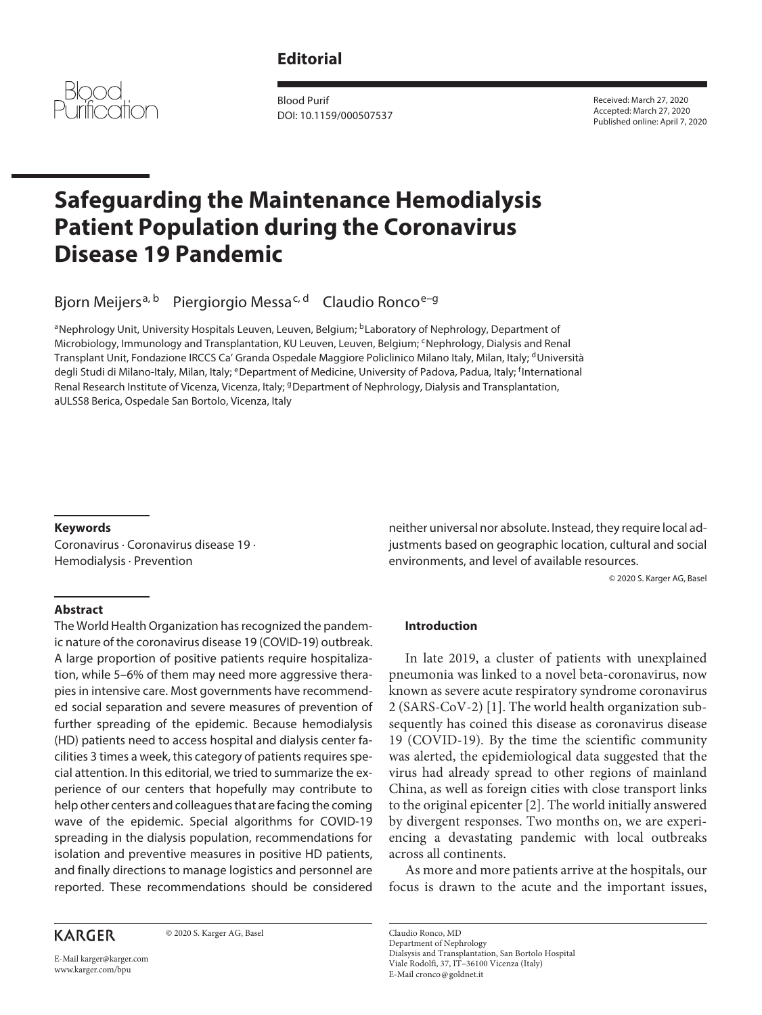# **Editorial**



Blood Purif DOI: 10.1159/000507537 Received: March 27, 2020 Accepted: March 27, 2020 Published online: April 7, 2020

# **Safeguarding the Maintenance Hemodialysis Patient Population during the Coronavirus Disease 19 Pandemic**

Bjorn Meijers<sup>a, b</sup> Piergiorgio Messa<sup>c, d</sup> Claudio Ronco<sup>e-g</sup>

aNephrology Unit, University Hospitals Leuven, Leuven, Belgium; <sup>b</sup>Laboratory of Nephrology, Department of Microbiology, Immunology and Transplantation, KU Leuven, Leuven, Belgium; <sup>c</sup>Nephrology, Dialysis and Renal Transplant Unit, Fondazione IRCCS Ca' Granda Ospedale Maggiore Policlinico Milano Italy, Milan, Italy; <sup>d</sup>Università degli Studi di Milano-Italy, Milan, Italy; <sup>e</sup> Department of Medicine, University of Padova, Padua, Italy; <sup>f</sup>International Renal Research Institute of Vicenza, Vicenza, Italy; <sup>g</sup>Department of Nephrology, Dialysis and Transplantation, aULSS8 Berica, Ospedale San Bortolo, Vicenza, Italy

#### **Keywords**

Coronavirus · Coronavirus disease 19 · Hemodialysis · Prevention

## **Abstract**

The World Health Organization has recognized the pandemic nature of the coronavirus disease 19 (COVID-19) outbreak. A large proportion of positive patients require hospitalization, while 5–6% of them may need more aggressive therapies in intensive care. Most governments have recommended social separation and severe measures of prevention of further spreading of the epidemic. Because hemodialysis (HD) patients need to access hospital and dialysis center facilities 3 times a week, this category of patients requires special attention. In this editorial, we tried to summarize the experience of our centers that hopefully may contribute to help other centers and colleagues that are facing the coming wave of the epidemic. Special algorithms for COVID-19 spreading in the dialysis population, recommendations for isolation and preventive measures in positive HD patients, and finally directions to manage logistics and personnel are reported. These recommendations should be considered

# **KARGER**

© 2020 S. Karger AG, Basel

E-Mail karger@karger.com www.karger.com/bpu

neither universal nor absolute. Instead, they require local adjustments based on geographic location, cultural and social environments, and level of available resources.

© 2020 S. Karger AG, Basel

#### **Introduction**

In late 2019, a cluster of patients with unexplained pneumonia was linked to a novel beta-coronavirus, now known as severe acute respiratory syndrome coronavirus 2 (SARS-CoV-2) [[1](#page-5-0)]. The world health organization subsequently has coined this disease as coronavirus disease 19 (COVID-19). By the time the scientific community was alerted, the epidemiological data suggested that the virus had already spread to other regions of mainland China, as well as foreign cities with close transport links to the original epicenter [\[2\]](#page-5-1). The world initially answered by divergent responses. Two months on, we are experiencing a devastating pandemic with local outbreaks across all continents.

As more and more patients arrive at the hospitals, our focus is drawn to the acute and the important issues,

Claudio Ronco, MD Department of Nephrology Dialsysis and Transplantation, San Bortolo Hospital Viale Rodolfi, 37, IT–36100 Vicenza (Italy) E-Mail cronco@goldnet.it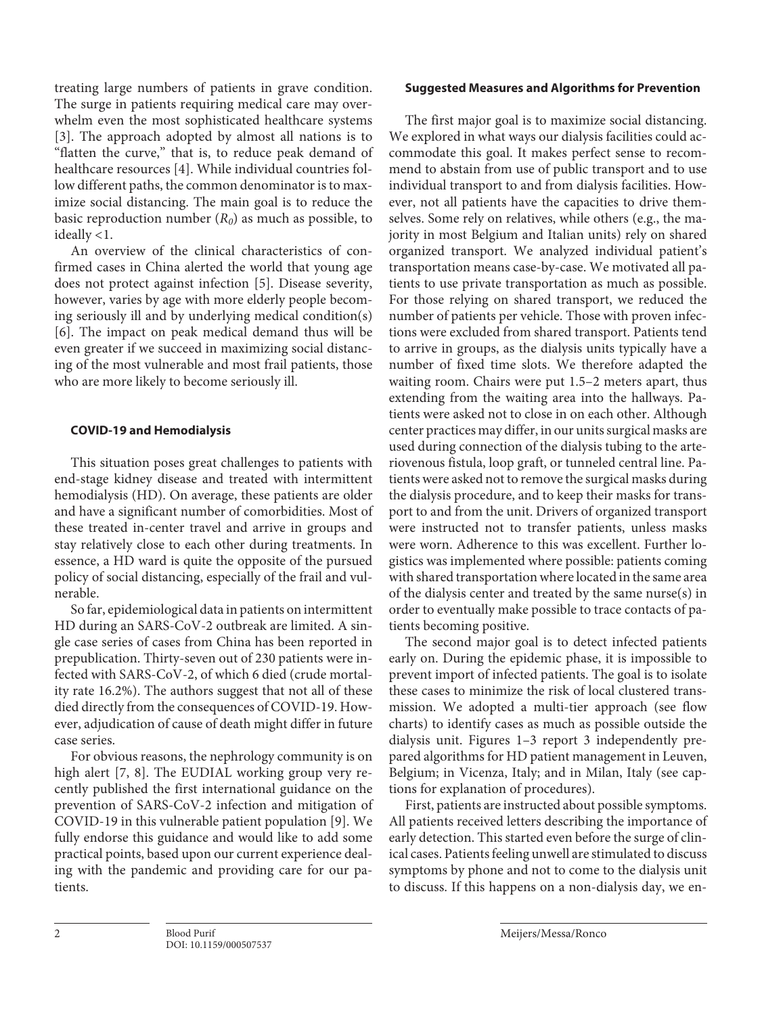treating large numbers of patients in grave condition. The surge in patients requiring medical care may overwhelm even the most sophisticated healthcare systems [\[3\]](#page-5-2). The approach adopted by almost all nations is to "flatten the curve," that is, to reduce peak demand of healthcare resources [[4\]](#page-5-3). While individual countries follow different paths, the common denominator is to maximize social distancing. The main goal is to reduce the basic reproduction number  $(R_0)$  as much as possible, to ideally <1.

An overview of the clinical characteristics of confirmed cases in China alerted the world that young age does not protect against infection [\[5\]](#page-5-4). Disease severity, however, varies by age with more elderly people becoming seriously ill and by underlying medical condition(s) [\[6\]](#page-5-5). The impact on peak medical demand thus will be even greater if we succeed in maximizing social distancing of the most vulnerable and most frail patients, those who are more likely to become seriously ill.

# **COVID-19 and Hemodialysis**

This situation poses great challenges to patients with end-stage kidney disease and treated with intermittent hemodialysis (HD). On average, these patients are older and have a significant number of comorbidities. Most of these treated in-center travel and arrive in groups and stay relatively close to each other during treatments. In essence, a HD ward is quite the opposite of the pursued policy of social distancing, especially of the frail and vulnerable.

So far, epidemiological data in patients on intermittent HD during an SARS-CoV-2 outbreak are limited. A single case series of cases from China has been reported in prepublication. Thirty-seven out of 230 patients were infected with SARS-CoV-2, of which 6 died (crude mortality rate 16.2%). The authors suggest that not all of these died directly from the consequences of COVID-19. However, adjudication of cause of death might differ in future case series.

For obvious reasons, the nephrology community is on high alert [\[7,](#page-5-6) [8](#page-5-7)]. The EUDIAL working group very recently published the first international guidance on the prevention of SARS-CoV-2 infection and mitigation of COVID-19 in this vulnerable patient population [[9](#page-5-8)]. We fully endorse this guidance and would like to add some practical points, based upon our current experience dealing with the pandemic and providing care for our patients.

# **Suggested Measures and Algorithms for Prevention**

The first major goal is to maximize social distancing. We explored in what ways our dialysis facilities could accommodate this goal. It makes perfect sense to recommend to abstain from use of public transport and to use individual transport to and from dialysis facilities. However, not all patients have the capacities to drive themselves. Some rely on relatives, while others (e.g., the majority in most Belgium and Italian units) rely on shared organized transport. We analyzed individual patient's transportation means case-by-case. We motivated all patients to use private transportation as much as possible. For those relying on shared transport, we reduced the number of patients per vehicle. Those with proven infections were excluded from shared transport. Patients tend to arrive in groups, as the dialysis units typically have a number of fixed time slots. We therefore adapted the waiting room. Chairs were put 1.5–2 meters apart, thus extending from the waiting area into the hallways. Patients were asked not to close in on each other. Although center practices may differ, in our units surgical masks are used during connection of the dialysis tubing to the arteriovenous fistula, loop graft, or tunneled central line. Patients were asked not to remove the surgical masks during the dialysis procedure, and to keep their masks for transport to and from the unit. Drivers of organized transport were instructed not to transfer patients, unless masks were worn. Adherence to this was excellent. Further logistics was implemented where possible: patients coming with shared transportation where located in the same area of the dialysis center and treated by the same nurse(s) in order to eventually make possible to trace contacts of patients becoming positive.

The second major goal is to detect infected patients early on. During the epidemic phase, it is impossible to prevent import of infected patients. The goal is to isolate these cases to minimize the risk of local clustered transmission. We adopted a multi-tier approach (see flow charts) to identify cases as much as possible outside the dialysis unit. Figures 1–3 report 3 independently prepared algorithms for HD patient management in Leuven, Belgium; in Vicenza, Italy; and in Milan, Italy (see captions for explanation of procedures).

First, patients are instructed about possible symptoms. All patients received letters describing the importance of early detection. This started even before the surge of clinical cases. Patients feeling unwell are stimulated to discuss symptoms by phone and not to come to the dialysis unit to discuss. If this happens on a non-dialysis day, we en-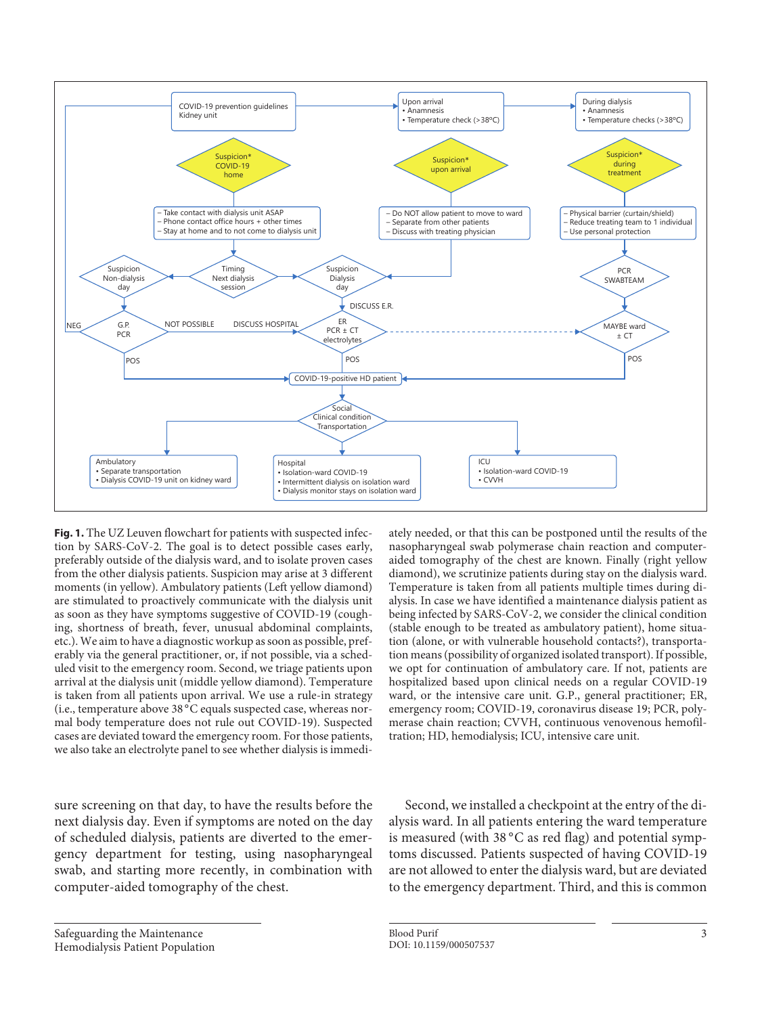

**Fig. 1.** The UZ Leuven flowchart for patients with suspected infection by SARS-CoV-2. The goal is to detect possible cases early, preferably outside of the dialysis ward, and to isolate proven cases from the other dialysis patients. Suspicion may arise at 3 different moments (in yellow). Ambulatory patients (Left yellow diamond) are stimulated to proactively communicate with the dialysis unit as soon as they have symptoms suggestive of COVID-19 (coughing, shortness of breath, fever, unusual abdominal complaints, etc.). We aim to have a diagnostic workup as soon as possible, preferably via the general practitioner, or, if not possible, via a scheduled visit to the emergency room. Second, we triage patients upon arrival at the dialysis unit (middle yellow diamond). Temperature is taken from all patients upon arrival. We use a rule-in strategy (i.e., temperature above 38 °C equals suspected case, whereas normal body temperature does not rule out COVID-19). Suspected cases are deviated toward the emergency room. For those patients, we also take an electrolyte panel to see whether dialysis is immedi-

sure screening on that day, to have the results before the next dialysis day. Even if symptoms are noted on the day of scheduled dialysis, patients are diverted to the emergency department for testing, using nasopharyngeal swab, and starting more recently, in combination with computer-aided tomography of the chest.

ately needed, or that this can be postponed until the results of the nasopharyngeal swab polymerase chain reaction and computeraided tomography of the chest are known. Finally (right yellow diamond), we scrutinize patients during stay on the dialysis ward. Temperature is taken from all patients multiple times during dialysis. In case we have identified a maintenance dialysis patient as being infected by SARS-CoV-2, we consider the clinical condition (stable enough to be treated as ambulatory patient), home situation (alone, or with vulnerable household contacts?), transportation means (possibility of organized isolated transport). If possible, we opt for continuation of ambulatory care. If not, patients are hospitalized based upon clinical needs on a regular COVID-19 ward, or the intensive care unit. G.P., general practitioner; ER, emergency room; COVID-19, coronavirus disease 19; PCR, polymerase chain reaction; CVVH, continuous venovenous hemofiltration; HD, hemodialysis; ICU, intensive care unit.

Second, we installed a checkpoint at the entry of the dialysis ward. In all patients entering the ward temperature is measured (with  $38\,^{\circ}$ C as red flag) and potential symptoms discussed. Patients suspected of having COVID-19 are not allowed to enter the dialysis ward, but are deviated to the emergency department. Third, and this is common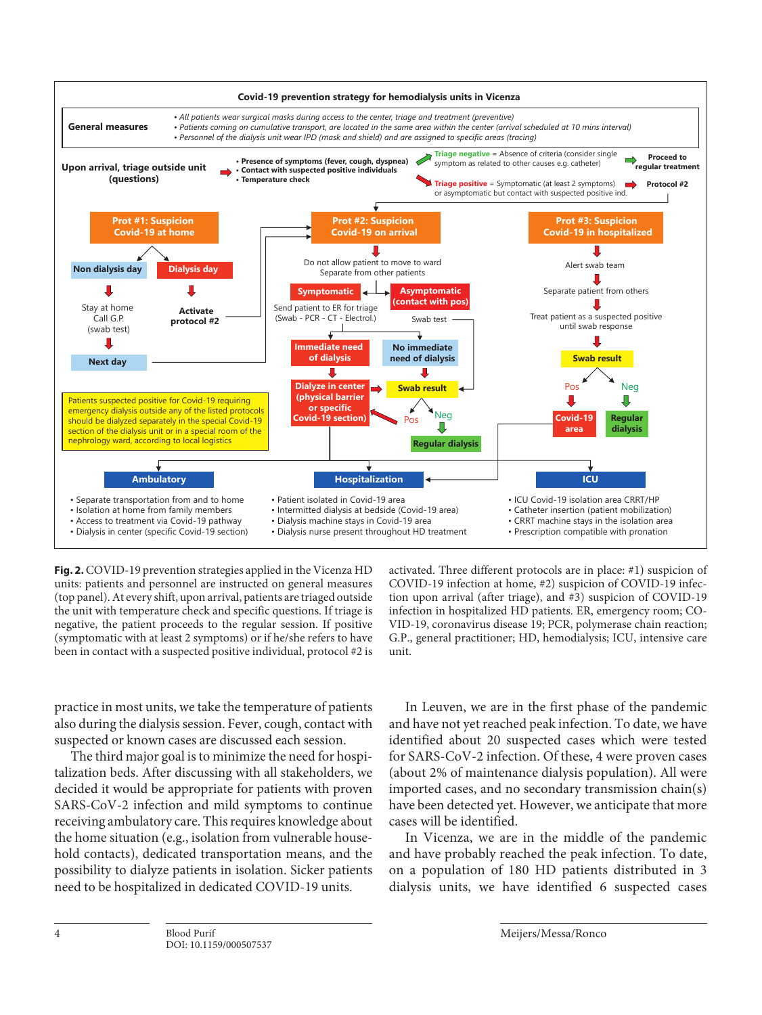![](_page_3_Figure_0.jpeg)

**Fig. 2.** COVID-19 prevention strategies applied in the Vicenza HD units: patients and personnel are instructed on general measures (top panel). At every shift, upon arrival, patients are triaged outside the unit with temperature check and specific questions. If triage is negative, the patient proceeds to the regular session. If positive (symptomatic with at least 2 symptoms) or if he/she refers to have been in contact with a suspected positive individual, protocol #2 is

activated. Three different protocols are in place: #1) suspicion of COVID-19 infection at home, #2) suspicion of COVID-19 infection upon arrival (after triage), and #3) suspicion of COVID-19 infection in hospitalized HD patients. ER, emergency room; CO-VID-19, coronavirus disease 19; PCR, polymerase chain reaction; G.P., general practitioner; HD, hemodialysis; ICU, intensive care unit.

practice in most units, we take the temperature of patients also during the dialysis session. Fever, cough, contact with suspected or known cases are discussed each session.

The third major goal is to minimize the need for hospitalization beds. After discussing with all stakeholders, we decided it would be appropriate for patients with proven SARS-CoV-2 infection and mild symptoms to continue receiving ambulatory care. This requires knowledge about the home situation (e.g., isolation from vulnerable household contacts), dedicated transportation means, and the possibility to dialyze patients in isolation. Sicker patients need to be hospitalized in dedicated COVID-19 units.

In Leuven, we are in the first phase of the pandemic and have not yet reached peak infection. To date, we have identified about 20 suspected cases which were tested for SARS-CoV-2 infection. Of these, 4 were proven cases (about 2% of maintenance dialysis population). All were imported cases, and no secondary transmission chain(s) have been detected yet. However, we anticipate that more cases will be identified.

In Vicenza, we are in the middle of the pandemic and have probably reached the peak infection. To date, on a population of 180 HD patients distributed in 3 dialysis units, we have identified 6 suspected cases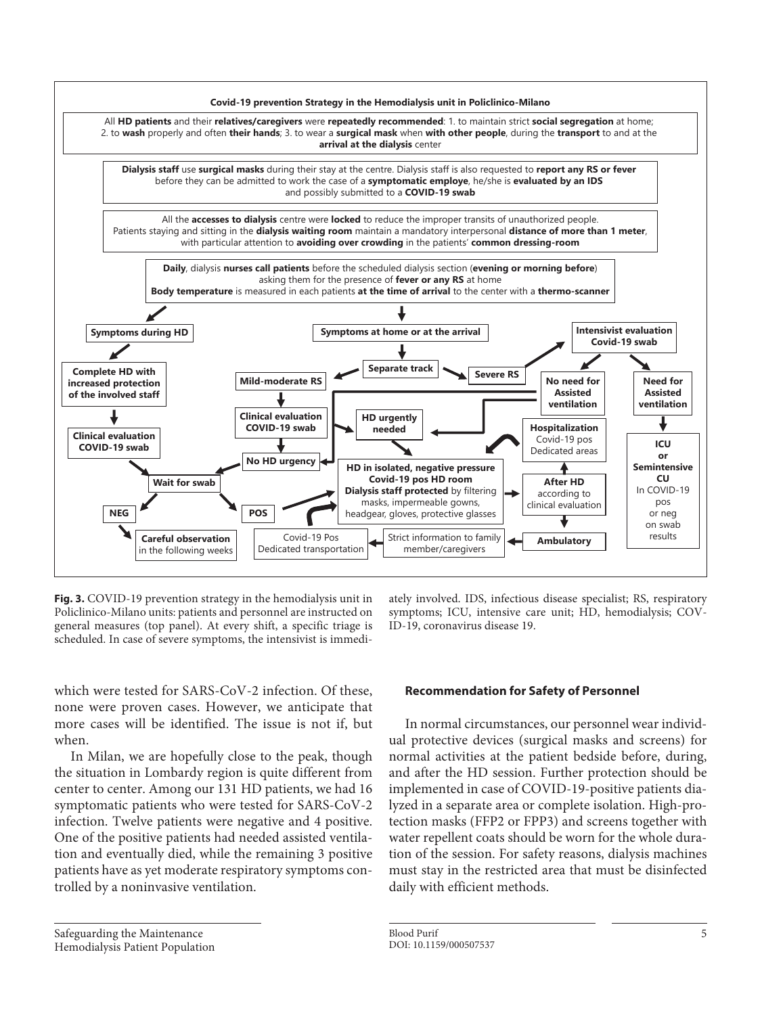![](_page_4_Figure_0.jpeg)

**Fig. 3.** COVID-19 prevention strategy in the hemodialysis unit in Policlinico-Milano units: patients and personnel are instructed on general measures (top panel). At every shift, a specific triage is scheduled. In case of severe symptoms, the intensivist is immedi-

ately involved. IDS, infectious disease specialist; RS, respiratory symptoms; ICU, intensive care unit; HD, hemodialysis; COV-ID-19, coronavirus disease 19.

which were tested for SARS-CoV-2 infection. Of these, none were proven cases. However, we anticipate that more cases will be identified. The issue is not if, but when.

In Milan, we are hopefully close to the peak, though the situation in Lombardy region is quite different from center to center. Among our 131 HD patients, we had 16 symptomatic patients who were tested for SARS-CoV-2 infection. Twelve patients were negative and 4 positive. One of the positive patients had needed assisted ventilation and eventually died, while the remaining 3 positive patients have as yet moderate respiratory symptoms controlled by a noninvasive ventilation.

## **Recommendation for Safety of Personnel**

In normal circumstances, our personnel wear individual protective devices (surgical masks and screens) for normal activities at the patient bedside before, during, and after the HD session. Further protection should be implemented in case of COVID-19-positive patients dialyzed in a separate area or complete isolation. High-protection masks (FFP2 or FPP3) and screens together with water repellent coats should be worn for the whole duration of the session. For safety reasons, dialysis machines must stay in the restricted area that must be disinfected daily with efficient methods.